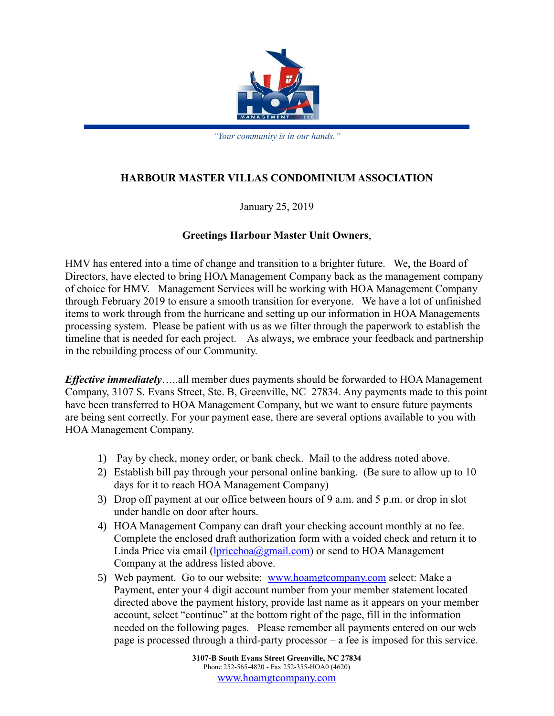

*"Your community is in our hands."*

## **HARBOUR MASTER VILLAS CONDOMINIUM ASSOCIATION**

January 25, 2019

## **Greetings Harbour Master Unit Owners**,

HMV has entered into a time of change and transition to a brighter future. We, the Board of Directors, have elected to bring HOA Management Company back as the management company of choice for HMV. Management Services will be working with HOA Management Company through February 2019 to ensure a smooth transition for everyone. We have a lot of unfinished items to work through from the hurricane and setting up our information in HOA Managements processing system. Please be patient with us as we filter through the paperwork to establish the timeline that is needed for each project. As always, we embrace your feedback and partnership in the rebuilding process of our Community.

*Effective immediately*…..all member dues payments should be forwarded to HOA Management Company, 3107 S. Evans Street, Ste. B, Greenville, NC 27834. Any payments made to this point have been transferred to HOA Management Company, but we want to ensure future payments are being sent correctly. For your payment ease, there are several options available to you with HOA Management Company.

- 1) Pay by check, money order, or bank check. Mail to the address noted above.
- 2) Establish bill pay through your personal online banking. (Be sure to allow up to 10 days for it to reach HOA Management Company)
- 3) Drop off payment at our office between hours of 9 a.m. and 5 p.m. or drop in slot under handle on door after hours.
- 4) HOA Management Company can draft your checking account monthly at no fee. Complete the enclosed draft authorization form with a voided check and return it to Linda Price via email ( $lpricehoa(\hat{a})$ gmail.com) or send to HOA Management Company at the address listed above.
- 5) Web payment. Go to our website: [www.hoamgtcompany.com](http://www.hoamgtcompany.com/) select: Make a Payment, enter your 4 digit account number from your member statement located directed above the payment history, provide last name as it appears on your member account, select "continue" at the bottom right of the page, fill in the information needed on the following pages. Please remember all payments entered on our web page is processed through a third-party processor – a fee is imposed for this service.